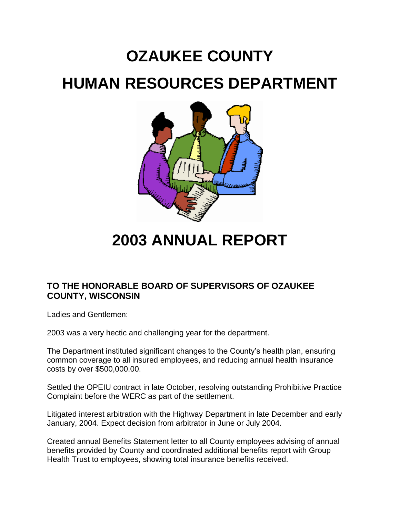# **OZAUKEE COUNTY HUMAN RESOURCES DEPARTMENT**



**2003 ANNUAL REPORT**

# **TO THE HONORABLE BOARD OF SUPERVISORS OF OZAUKEE COUNTY, WISCONSIN**

Ladies and Gentlemen:

2003 was a very hectic and challenging year for the department.

The Department instituted significant changes to the County's health plan, ensuring common coverage to all insured employees, and reducing annual health insurance costs by over \$500,000.00.

Settled the OPEIU contract in late October, resolving outstanding Prohibitive Practice Complaint before the WERC as part of the settlement.

Litigated interest arbitration with the Highway Department in late December and early January, 2004. Expect decision from arbitrator in June or July 2004.

Created annual Benefits Statement letter to all County employees advising of annual benefits provided by County and coordinated additional benefits report with Group Health Trust to employees, showing total insurance benefits received.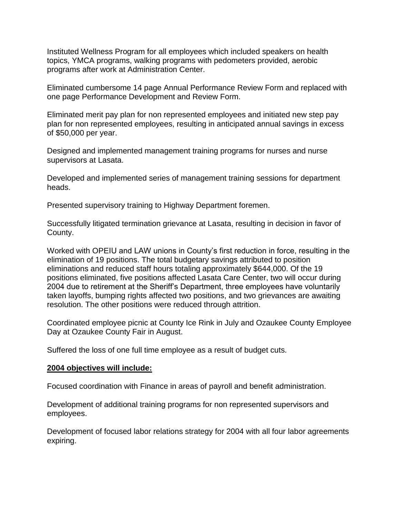Instituted Wellness Program for all employees which included speakers on health topics, YMCA programs, walking programs with pedometers provided, aerobic programs after work at Administration Center.

Eliminated cumbersome 14 page Annual Performance Review Form and replaced with one page Performance Development and Review Form.

Eliminated merit pay plan for non represented employees and initiated new step pay plan for non represented employees, resulting in anticipated annual savings in excess of \$50,000 per year.

Designed and implemented management training programs for nurses and nurse supervisors at Lasata.

Developed and implemented series of management training sessions for department heads.

Presented supervisory training to Highway Department foremen.

Successfully litigated termination grievance at Lasata, resulting in decision in favor of County.

Worked with OPEIU and LAW unions in County's first reduction in force, resulting in the elimination of 19 positions. The total budgetary savings attributed to position eliminations and reduced staff hours totaling approximately \$644,000. Of the 19 positions eliminated, five positions affected Lasata Care Center, two will occur during 2004 due to retirement at the Sheriff's Department, three employees have voluntarily taken layoffs, bumping rights affected two positions, and two grievances are awaiting resolution. The other positions were reduced through attrition.

Coordinated employee picnic at County Ice Rink in July and Ozaukee County Employee Day at Ozaukee County Fair in August.

Suffered the loss of one full time employee as a result of budget cuts.

#### **2004 objectives will include:**

Focused coordination with Finance in areas of payroll and benefit administration.

Development of additional training programs for non represented supervisors and employees.

Development of focused labor relations strategy for 2004 with all four labor agreements expiring.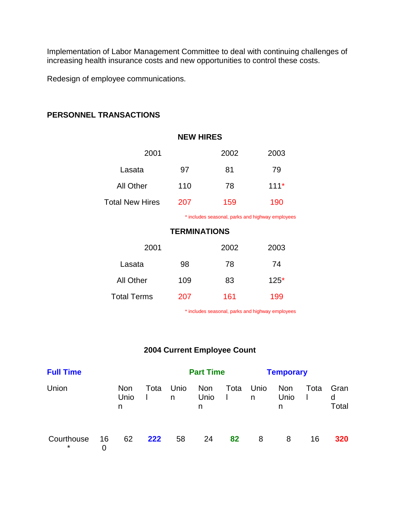Implementation of Labor Management Committee to deal with continuing challenges of increasing health insurance costs and new opportunities to control these costs.

Redesign of employee communications.

## **PERSONNEL TRANSACTIONS**

| <b>NEW HIRES</b>       |      |                                                                                                 |        |  |  |  |  |
|------------------------|------|-------------------------------------------------------------------------------------------------|--------|--|--|--|--|
| 2001                   | 2002 | 2003                                                                                            |        |  |  |  |  |
| Lasata                 | 97   | 81                                                                                              | 79     |  |  |  |  |
| <b>All Other</b>       | 110  | 78                                                                                              | $111*$ |  |  |  |  |
| <b>Total New Hires</b> | 207  | 159                                                                                             | 190    |  |  |  |  |
|                        |      | . ♦ San Alberta and and an anti-structure and and all la San International and an and all large |        |  |  |  |  |

includes seasonal, parks and highway employees

### **TERMINATIONS**

| 2001               |     | 2002 | 2003   |  |  |
|--------------------|-----|------|--------|--|--|
| Lasata             | 98  | 78   | 74     |  |  |
| All Other          | 109 | 83   | $125*$ |  |  |
| <b>Total Terms</b> | 207 | 161  | 199    |  |  |

\* includes seasonal, parks and highway employees

## **2004 Current Employee Count**

| <b>Full Time</b>      |         |                         | <b>Part Time</b> |           |                         | <b>Temporary</b> |           |                         |      |                    |
|-----------------------|---------|-------------------------|------------------|-----------|-------------------------|------------------|-----------|-------------------------|------|--------------------|
| Union                 |         | <b>Non</b><br>Unio<br>n | Tota             | Unio<br>n | <b>Non</b><br>Unio<br>n | Tota             | Unio<br>n | <b>Non</b><br>Unio<br>n | Tota | Gran<br>d<br>Total |
| Courthouse<br>$\star$ | 16<br>0 | 62                      | 222              | 58        | 24                      | 82               | 8         | 8                       | 16   | 320                |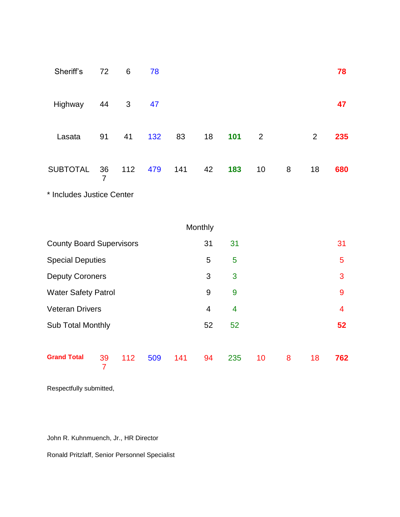| Sheriff's                       | 72      | 6            | 78  |     |         |     |                 |   |                | 78  |
|---------------------------------|---------|--------------|-----|-----|---------|-----|-----------------|---|----------------|-----|
| Highway                         | 44      | $\mathbf{3}$ | 47  |     |         |     |                 |   |                | 47  |
| Lasata                          | 91      | 41           | 132 | 83  | 18      | 101 | $\overline{2}$  |   | $\overline{2}$ | 235 |
| <b>SUBTOTAL</b>                 | 36<br>7 | 112          | 479 | 141 | 42      | 183 | 10 <sup>°</sup> | 8 | 18             | 680 |
| * Includes Justice Center       |         |              |     |     |         |     |                 |   |                |     |
|                                 |         |              |     |     | Monthly |     |                 |   |                |     |
| <b>County Board Supervisors</b> |         |              |     |     | 31      | 31  |                 |   |                | 31  |
| <b>Special Deputies</b>         |         |              |     |     | 5       | 5   |                 |   |                | 5   |
| <b>Deputy Coroners</b>          |         |              |     |     | 3       | 3   |                 |   |                | 3   |
|                                 |         |              |     |     |         |     |                 |   |                |     |

Water Safety Patrol 9 9 9

Veteran Drivers 4 4 4

Sub Total Monthly 52 52 **52**

112 509 141 94 235 10 8 18 **762**

Respectfully submitted,

Grand Total 39

John R. Kuhnmuench, Jr., HR Director

7

Ronald Pritzlaff, Senior Personnel Specialist